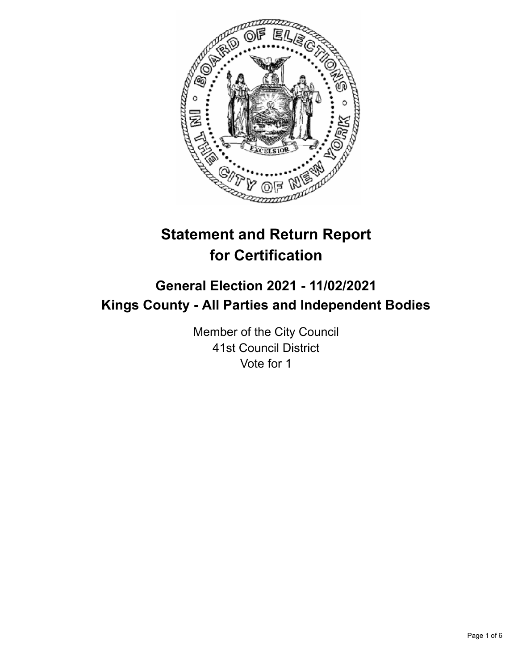

# **Statement and Return Report for Certification**

# **General Election 2021 - 11/02/2021 Kings County - All Parties and Independent Bodies**

Member of the City Council 41st Council District Vote for 1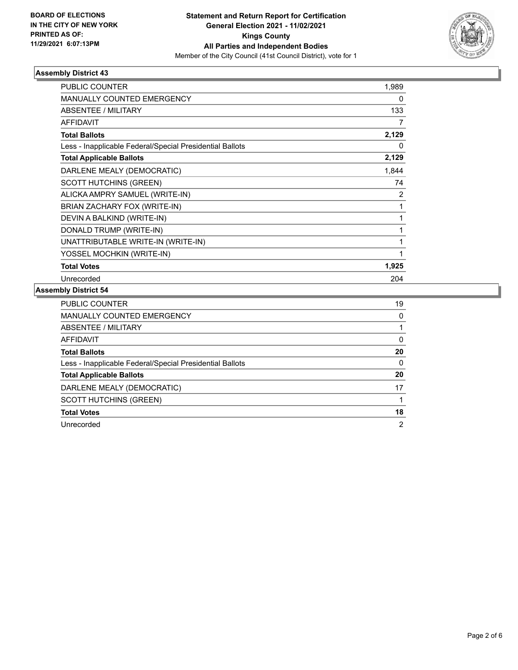

#### **Assembly District 43**

| <b>PUBLIC COUNTER</b>                                    | 1,989 |
|----------------------------------------------------------|-------|
| <b>MANUALLY COUNTED EMERGENCY</b>                        | 0     |
| ABSENTEE / MILITARY                                      | 133   |
| <b>AFFIDAVIT</b>                                         | 7     |
| <b>Total Ballots</b>                                     | 2,129 |
| Less - Inapplicable Federal/Special Presidential Ballots | 0     |
| <b>Total Applicable Ballots</b>                          | 2,129 |
| DARLENE MEALY (DEMOCRATIC)                               | 1,844 |
| <b>SCOTT HUTCHINS (GREEN)</b>                            | 74    |
| ALICKA AMPRY SAMUEL (WRITE-IN)                           | 2     |
| BRIAN ZACHARY FOX (WRITE-IN)                             | 1     |
| DEVIN A BALKIND (WRITE-IN)                               | 1     |
| DONALD TRUMP (WRITE-IN)                                  | 1     |
| UNATTRIBUTABLE WRITE-IN (WRITE-IN)                       | 1     |
| YOSSEL MOCHKIN (WRITE-IN)                                | 1     |
| <b>Total Votes</b>                                       | 1,925 |
| Unrecorded                                               | 204   |

### **Assembly District 54**

| PUBLIC COUNTER                                           | 19       |
|----------------------------------------------------------|----------|
| MANUALLY COUNTED EMERGENCY                               | 0        |
| ABSENTEE / MILITARY                                      |          |
| AFFIDAVIT                                                | $\Omega$ |
| <b>Total Ballots</b>                                     | 20       |
| Less - Inapplicable Federal/Special Presidential Ballots | $\Omega$ |
| <b>Total Applicable Ballots</b>                          | 20       |
| DARLENE MEALY (DEMOCRATIC)                               | 17       |
| <b>SCOTT HUTCHINS (GREEN)</b>                            |          |
| <b>Total Votes</b>                                       | 18       |
| Unrecorded                                               | 2        |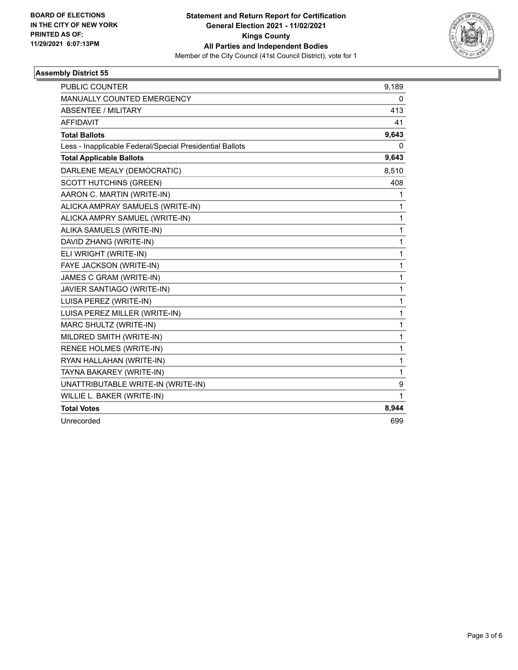

#### **Assembly District 55**

| <b>PUBLIC COUNTER</b>                                    | 9,189        |
|----------------------------------------------------------|--------------|
| <b>MANUALLY COUNTED EMERGENCY</b>                        | 0            |
| <b>ABSENTEE / MILITARY</b>                               | 413          |
| <b>AFFIDAVIT</b>                                         | 41           |
| <b>Total Ballots</b>                                     | 9,643        |
| Less - Inapplicable Federal/Special Presidential Ballots | 0            |
| <b>Total Applicable Ballots</b>                          | 9,643        |
| DARLENE MEALY (DEMOCRATIC)                               | 8,510        |
| <b>SCOTT HUTCHINS (GREEN)</b>                            | 408          |
| AARON C. MARTIN (WRITE-IN)                               | 1            |
| ALICKA AMPRAY SAMUELS (WRITE-IN)                         | 1            |
| ALICKA AMPRY SAMUEL (WRITE-IN)                           | 1            |
| ALIKA SAMUELS (WRITE-IN)                                 | 1            |
| DAVID ZHANG (WRITE-IN)                                   | $\mathbf{1}$ |
| ELI WRIGHT (WRITE-IN)                                    | $\mathbf{1}$ |
| FAYE JACKSON (WRITE-IN)                                  | $\mathbf{1}$ |
| JAMES C GRAM (WRITE-IN)                                  | 1            |
| JAVIER SANTIAGO (WRITE-IN)                               | 1            |
| LUISA PEREZ (WRITE-IN)                                   | 1            |
| LUISA PEREZ MILLER (WRITE-IN)                            | 1            |
| MARC SHULTZ (WRITE-IN)                                   | 1            |
| MILDRED SMITH (WRITE-IN)                                 | 1            |
| <b>RENEE HOLMES (WRITE-IN)</b>                           | 1            |
| RYAN HALLAHAN (WRITE-IN)                                 | 1            |
| TAYNA BAKAREY (WRITE-IN)                                 | 1            |
| UNATTRIBUTABLE WRITE-IN (WRITE-IN)                       | 9            |
| WILLIE L. BAKER (WRITE-IN)                               | 1            |
| <b>Total Votes</b>                                       | 8,944        |
| Unrecorded                                               | 699          |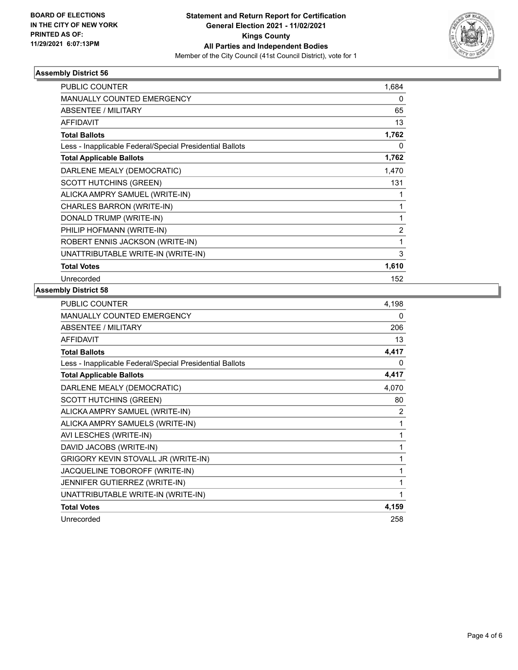

#### **Assembly District 56**

| PUBLIC COUNTER                                           | 1,684          |
|----------------------------------------------------------|----------------|
| MANUALLY COUNTED EMERGENCY                               | 0              |
| ABSENTEE / MILITARY                                      | 65             |
| <b>AFFIDAVIT</b>                                         | 13             |
| <b>Total Ballots</b>                                     | 1,762          |
| Less - Inapplicable Federal/Special Presidential Ballots | 0              |
| <b>Total Applicable Ballots</b>                          | 1,762          |
| DARLENE MEALY (DEMOCRATIC)                               | 1,470          |
| <b>SCOTT HUTCHINS (GREEN)</b>                            | 131            |
| ALICKA AMPRY SAMUEL (WRITE-IN)                           | 1              |
| CHARLES BARRON (WRITE-IN)                                | 1              |
| DONALD TRUMP (WRITE-IN)                                  | 1              |
| PHILIP HOFMANN (WRITE-IN)                                | $\overline{2}$ |
| ROBERT ENNIS JACKSON (WRITE-IN)                          | 1              |
| UNATTRIBUTABLE WRITE-IN (WRITE-IN)                       | 3              |
| <b>Total Votes</b>                                       | 1,610          |
| Unrecorded                                               | 152            |

## **Assembly District 58**

| <b>PUBLIC COUNTER</b>                                    | 4,198 |
|----------------------------------------------------------|-------|
| <b>MANUALLY COUNTED EMERGENCY</b>                        | 0     |
| ABSENTEE / MILITARY                                      | 206   |
| <b>AFFIDAVIT</b>                                         | 13    |
| <b>Total Ballots</b>                                     | 4,417 |
| Less - Inapplicable Federal/Special Presidential Ballots | 0     |
| <b>Total Applicable Ballots</b>                          | 4,417 |
| DARLENE MEALY (DEMOCRATIC)                               | 4,070 |
| <b>SCOTT HUTCHINS (GREEN)</b>                            | 80    |
| ALICKA AMPRY SAMUEL (WRITE-IN)                           | 2     |
| ALICKA AMPRY SAMUELS (WRITE-IN)                          | 1     |
| AVI LESCHES (WRITE-IN)                                   | 1     |
| DAVID JACOBS (WRITE-IN)                                  | 1     |
| GRIGORY KEVIN STOVALL JR (WRITE-IN)                      | 1     |
| JACQUELINE TOBOROFF (WRITE-IN)                           | 1     |
| JENNIFER GUTIERREZ (WRITE-IN)                            | 1     |
| UNATTRIBUTABLE WRITE-IN (WRITE-IN)                       | 1     |
| <b>Total Votes</b>                                       | 4,159 |
| Unrecorded                                               | 258   |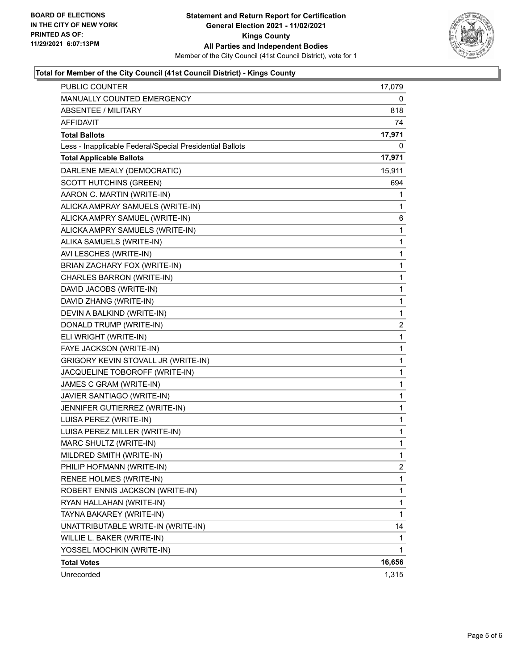

#### **Total for Member of the City Council (41st Council District) - Kings County**

| <b>PUBLIC COUNTER</b>                                    | 17,079         |
|----------------------------------------------------------|----------------|
| MANUALLY COUNTED EMERGENCY                               | 0              |
| <b>ABSENTEE / MILITARY</b>                               | 818            |
| AFFIDAVIT                                                | 74             |
| <b>Total Ballots</b>                                     | 17,971         |
| Less - Inapplicable Federal/Special Presidential Ballots | 0              |
| <b>Total Applicable Ballots</b>                          | 17,971         |
| DARLENE MEALY (DEMOCRATIC)                               | 15,911         |
| <b>SCOTT HUTCHINS (GREEN)</b>                            | 694            |
| AARON C. MARTIN (WRITE-IN)                               | 1              |
| ALICKA AMPRAY SAMUELS (WRITE-IN)                         | 1              |
| ALICKA AMPRY SAMUEL (WRITE-IN)                           | 6              |
| ALICKA AMPRY SAMUELS (WRITE-IN)                          | 1              |
| ALIKA SAMUELS (WRITE-IN)                                 | $\mathbf{1}$   |
| AVI LESCHES (WRITE-IN)                                   | 1              |
| BRIAN ZACHARY FOX (WRITE-IN)                             | 1              |
| CHARLES BARRON (WRITE-IN)                                | 1              |
| DAVID JACOBS (WRITE-IN)                                  | 1              |
| DAVID ZHANG (WRITE-IN)                                   | 1              |
| DEVIN A BALKIND (WRITE-IN)                               | $\mathbf{1}$   |
| DONALD TRUMP (WRITE-IN)                                  | 2              |
| ELI WRIGHT (WRITE-IN)                                    | 1              |
| FAYE JACKSON (WRITE-IN)                                  | 1              |
| GRIGORY KEVIN STOVALL JR (WRITE-IN)                      | 1              |
| JACQUELINE TOBOROFF (WRITE-IN)                           | 1              |
| JAMES C GRAM (WRITE-IN)                                  | 1              |
| JAVIER SANTIAGO (WRITE-IN)                               | 1              |
| JENNIFER GUTIERREZ (WRITE-IN)                            | 1              |
| LUISA PEREZ (WRITE-IN)                                   | 1              |
| LUISA PEREZ MILLER (WRITE-IN)                            | 1              |
| MARC SHULTZ (WRITE-IN)                                   | 1              |
| MILDRED SMITH (WRITE-IN)                                 | 1              |
| PHILIP HOFMANN (WRITE-IN)                                | $\overline{2}$ |
| RENEE HOLMES (WRITE-IN)                                  | 1              |
| ROBERT ENNIS JACKSON (WRITE-IN)                          | 1              |
| RYAN HALLAHAN (WRITE-IN)                                 | 1              |
| TAYNA BAKAREY (WRITE-IN)                                 | 1              |
| UNATTRIBUTABLE WRITE-IN (WRITE-IN)                       | 14             |
| WILLIE L. BAKER (WRITE-IN)                               | 1              |
| YOSSEL MOCHKIN (WRITE-IN)                                | 1              |
| <b>Total Votes</b>                                       | 16,656         |
| Unrecorded                                               | 1,315          |